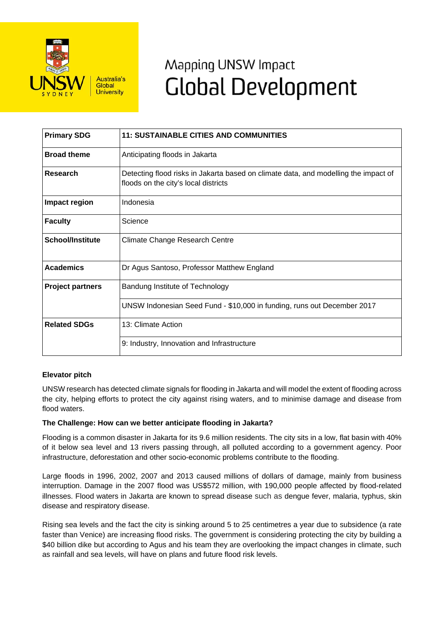

# Mapping UNSW Impact **Global Development**

| <b>Primary SDG</b>      | <b>11: SUSTAINABLE CITIES AND COMMUNITIES</b>                                                                               |
|-------------------------|-----------------------------------------------------------------------------------------------------------------------------|
| <b>Broad theme</b>      | Anticipating floods in Jakarta                                                                                              |
| Research                | Detecting flood risks in Jakarta based on climate data, and modelling the impact of<br>floods on the city's local districts |
| Impact region           | Indonesia                                                                                                                   |
| <b>Faculty</b>          | Science                                                                                                                     |
| <b>School/Institute</b> | <b>Climate Change Research Centre</b>                                                                                       |
| <b>Academics</b>        | Dr Agus Santoso, Professor Matthew England                                                                                  |
| <b>Project partners</b> | Bandung Institute of Technology                                                                                             |
|                         | UNSW Indonesian Seed Fund - \$10,000 in funding, runs out December 2017                                                     |
| <b>Related SDGs</b>     | 13: Climate Action                                                                                                          |
|                         | 9: Industry, Innovation and Infrastructure                                                                                  |

## **Elevator pitch**

UNSW research has detected climate signals for flooding in Jakarta and will model the extent of flooding across the city, helping efforts to protect the city against rising waters, and to minimise damage and disease from flood waters.

## **The Challenge: How can we better anticipate flooding in Jakarta?**

Flooding is a common disaster in Jakarta for its 9.6 million residents. The city sits in a low, flat basin with 40% of it below sea level and 13 rivers passing through, all polluted according to a government agency. Poor infrastructure, deforestation and other socio-economic problems contribute to the flooding.

Large floods in 1996, 2002, 2007 and 2013 caused millions of dollars of damage, mainly from business interruption. Damage in the 2007 flood was US\$572 million, with 190,000 people affected by flood-related illnesses. Flood waters in Jakarta are known to spread disease such as dengue fever, malaria, typhus, skin disease and respiratory disease.

Rising sea levels and the fact the city is sinking around 5 to 25 centimetres a year due to subsidence (a rate faster than Venice) are increasing flood risks. The government is considering protecting the city by building a \$40 billion dike but according to Agus and his team they are overlooking the impact changes in climate, such as rainfall and sea levels, will have on plans and future flood risk levels.